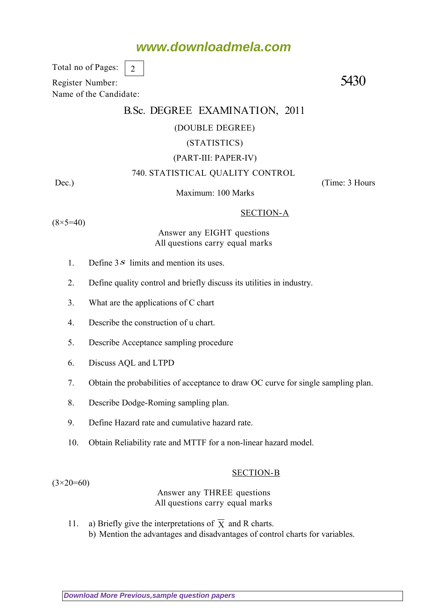## **www.downloadmela.com**

Total no of Pages: 2

Register Number: 5430 Name of the Candidate:

### B.Sc. DEGREE EXAMINATION, 2011

#### (DOUBLE DEGREE)

#### (STATISTICS)

#### (PART-III: PAPER-IV)

#### 740. STATISTICAL QUALITY CONTROL

Dec.) (Time: 3 Hours

Maximum: 100 Marks

#### SECTION-A

 $(8\times5=40)$ 

 $(3\times20=60)$ 

Answer any EIGHT questions All questions carry equal marks

- 1. Define  $3s$  limits and mention its uses.
- 2. Define quality control and briefly discuss its utilities in industry.
- 3. What are the applications of C chart
- 4. Describe the construction of u chart.
- 5. Describe Acceptance sampling procedure
- 6. Discuss AQL and LTPD
- 7. Obtain the probabilities of acceptance to draw OC curve for single sampling plan.
- 8. Describe Dodge-Roming sampling plan.
- 9. Define Hazard rate and cumulative hazard rate.
- 10. Obtain Reliability rate and MTTF for a non-linear hazard model.

#### SECTION-B

#### Answer any THREE questions All questions carry equal marks

11. a) Briefly give the interpretations of  $\overline{X}$  and R charts. b) Mention the advantages and disadvantages of control charts for variables.